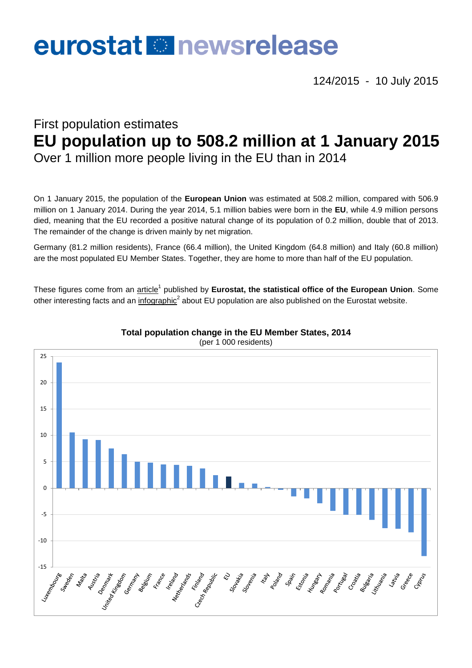# eurostat **Re** newsrelease

124/2015 - 10 July 2015

# First population estimates **EU population up to 508.2 million at 1 January 2015** Over 1 million more people living in the EU than in 2014

On 1 January 2015, the population of the **European Union** was estimated at 508.2 million, compared with 506.9 million on 1 January 2014. During the year 2014, 5.1 million babies were born in the **EU**, while 4.9 million persons died, meaning that the EU recorded a positive natural change of its population of 0.2 million, double that of 2013. The remainder of the change is driven mainly by net migration.

Germany (81.2 million residents), France (66.4 million), the United Kingdom (64.8 million) and Italy (60.8 million) are the most populated EU Member States. Together, they are home to more than half of the EU population.

These figures come from an [article](http://ec.europa.eu/eurostat/statistics-explained/index.php/Population_and_population_change_statistics)<sup>1</sup> published by **Eurostat, the statistical office of the European Union**. Some other interesting facts and an [infographic](http://ec.europa.eu/eurostat/news/themes-in-the-spotlight/population-day)<sup>2</sup> about EU population are also published on the Eurostat website.



**Total population change in the EU Member States, 2014**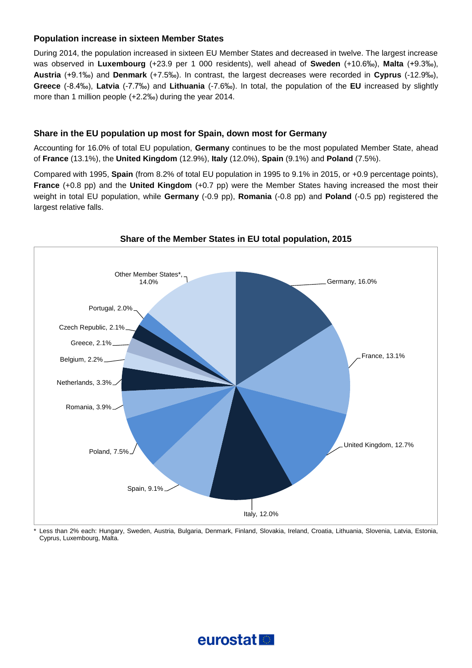### **Population increase in sixteen Member States**

During 2014, the population increased in sixteen EU Member States and decreased in twelve. The largest increase was observed in **Luxembourg** (+23.9 per 1 000 residents), well ahead of **Sweden** (+10.6‰), **Malta** (+9.3‰), **Austria** (+9.1‰) and **Denmark** (+7.5‰). In contrast, the largest decreases were recorded in **Cyprus** (-12.9‰), **Greece** (-8.4‰), **Latvia** (-7.7‰) and **Lithuania** (-7.6‰). In total, the population of the **EU** increased by slightly more than 1 million people (+2.2‰) during the year 2014.

#### **Share in the EU population up most for Spain, down most for Germany**

Accounting for 16.0% of total EU population, **Germany** continues to be the most populated Member State, ahead of **France** (13.1%), the **United Kingdom** (12.9%), **Italy** (12.0%), **Spain** (9.1%) and **Poland** (7.5%).

Compared with 1995, **Spain** (from 8.2% of total EU population in 1995 to 9.1% in 2015, or +0.9 percentage points), **France** (+0.8 pp) and the **United Kingdom** (+0.7 pp) were the Member States having increased the most their weight in total EU population, while **Germany** (-0.9 pp), **Romania** (-0.8 pp) and **Poland** (-0.5 pp) registered the largest relative falls.



# **Share of the Member States in EU total population, 2015**

Less than 2% each: Hungary, Sweden, Austria, Bulgaria, Denmark, Finland, Slovakia, Ireland, Croatia, Lithuania, Slovenia, Latvia, Estonia, Cyprus, Luxembourg, Malta.

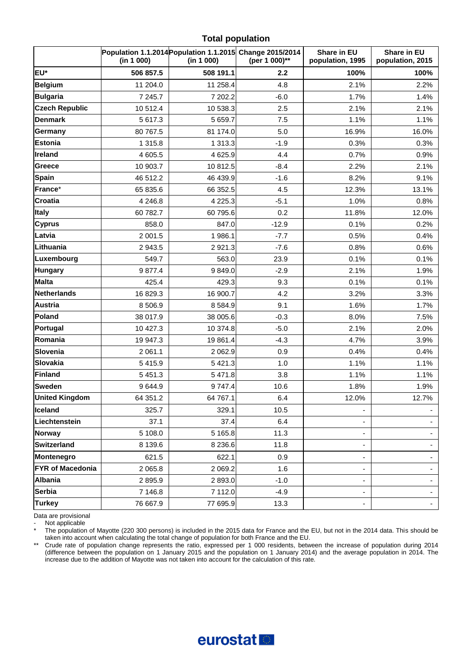**Total population**

|                         | Population 1.1.2014 Population 1.1.2015 Change 2015/2014<br>(in 1 000)<br>(in 1 000) |             | (per 1 000)** | Share in EU<br>population, 1995 | Share in EU<br>population, 2015 |
|-------------------------|--------------------------------------------------------------------------------------|-------------|---------------|---------------------------------|---------------------------------|
| EU*                     | 506 857.5                                                                            | 508 191.1   | 2.2           | 100%                            | 100%                            |
| <b>Belgium</b>          | 11 204.0                                                                             | 11 258.4    | 4.8           | 2.1%                            | 2.2%                            |
| <b>Bulgaria</b>         | 7 245.7                                                                              | 7 202.2     | $-6.0$        | 1.7%                            | 1.4%                            |
| <b>Czech Republic</b>   | 10 512.4                                                                             | 10 538.3    | 2.5           | 2.1%                            | 2.1%                            |
| <b>Denmark</b>          | 5 617.3                                                                              | 5 6 5 9.7   | 7.5           | 1.1%                            | 1.1%                            |
| Germany                 | 80 767.5                                                                             | 81 174.0    | 5.0           | 16.9%                           | 16.0%                           |
| <b>Estonia</b>          | 1 3 1 5 . 8                                                                          | 1 313.3     | $-1.9$        | 0.3%                            | 0.3%                            |
| Ireland                 | 4 605.5                                                                              | 4 6 25.9    | 4.4           | 0.7%                            | 0.9%                            |
| Greece                  | 10 903.7                                                                             | 10812.5     | $-8.4$        | 2.2%                            | 2.1%                            |
| <b>Spain</b>            | 46 512.2                                                                             | 46 439.9    | $-1.6$        | 8.2%                            | 9.1%                            |
| France*                 | 65 835.6                                                                             | 66 352.5    | 4.5           | 12.3%                           | 13.1%                           |
| <b>Croatia</b>          | 4 2 4 6 .8                                                                           | 4 2 2 5 . 3 | $-5.1$        | 1.0%                            | 0.8%                            |
| <b>Italy</b>            | 60 782.7                                                                             | 60 795.6    | 0.2           | 11.8%                           | 12.0%                           |
| <b>Cyprus</b>           | 858.0                                                                                | 847.0       | $-12.9$       | 0.1%                            | 0.2%                            |
| Latvia                  | 2 001.5                                                                              | 1 986.1     | $-7.7$        | 0.5%                            | 0.4%                            |
| Lithuania               | 2 943.5                                                                              | 2 9 2 1 . 3 | $-7.6$        | 0.8%                            | 0.6%                            |
| Luxembourg              | 549.7                                                                                | 563.0       | 23.9          | 0.1%                            | 0.1%                            |
| <b>Hungary</b>          | 9877.4                                                                               | 9849.0      | $-2.9$        | 2.1%                            | 1.9%                            |
| <b>Malta</b>            | 425.4                                                                                | 429.3       | 9.3           | 0.1%                            | 0.1%                            |
| <b>Netherlands</b>      | 16 829.3                                                                             | 16 900.7    | 4.2           | 3.2%                            | 3.3%                            |
| <b>Austria</b>          | 8 506.9                                                                              | 8584.9      | 9.1           | 1.6%                            | 1.7%                            |
| Poland                  | 38 017.9                                                                             | 38 005.6    | $-0.3$        | 8.0%                            | 7.5%                            |
| Portugal                | 10 427.3                                                                             | 10 374.8    | $-5.0$        | 2.1%                            | 2.0%                            |
| Romania                 | 19 947.3                                                                             | 19 861.4    | $-4.3$        | 4.7%                            | 3.9%                            |
| Slovenia                | 2 061.1                                                                              | 2 0 6 2.9   | 0.9           | 0.4%                            | 0.4%                            |
| <b>Slovakia</b>         | 5 4 1 5.9                                                                            | 5 4 2 1 . 3 | 1.0           | 1.1%                            | 1.1%                            |
| Finland                 | 5 4 5 1 . 3                                                                          | 5 4 7 1 .8  | 3.8           | 1.1%                            | 1.1%                            |
| <b>Sweden</b>           | 9644.9                                                                               | 9747.4      | 10.6          | 1.8%                            | 1.9%                            |
| <b>United Kingdom</b>   | 64 351.2                                                                             | 64 767.1    | 6.4           | 12.0%                           | 12.7%                           |
| <b>Iceland</b>          | 325.7                                                                                | 329.1       | 10.5          |                                 |                                 |
| Liechtenstein           | 37.1                                                                                 | 37.4        | 6.4           |                                 |                                 |
| <b>Norway</b>           | 5 108.0                                                                              | 5 1 6 5 . 8 | 11.3          |                                 |                                 |
| <b>Switzerland</b>      | 8 139.6                                                                              | 8 2 3 6 . 6 | 11.8          |                                 |                                 |
| Montenegro              | 621.5                                                                                | 622.1       | 0.9           |                                 |                                 |
| <b>FYR of Macedonia</b> | 2 0 6 5 . 8                                                                          | 2 0 6 9.2   | 1.6           |                                 |                                 |
| <b>Albania</b>          | 2895.9                                                                               | 2893.0      | $-1.0$        |                                 |                                 |
| <b>Serbia</b>           | 7 146.8                                                                              | 7 112.0     | $-4.9$        |                                 |                                 |
| <b>Turkey</b>           | 76 667.9                                                                             | 77 695.9    | 13.3          |                                 |                                 |

Data are provisional

Not applicable

\* The population of Mayotte (220 300 persons) is included in the 2015 data for France and the EU, but not in the 2014 data. This should be taken into account when calculating the total change of population for both France and the EU.

\*\* Crude rate of population change represents the ratio, expressed per 1 000 residents, between the increase of population during 2014 (difference between the population on 1 January 2015 and the population on 1 January 2014) and the average population in 2014. The increase due to the addition of Mayotte was not taken into account for the calculation of this rate.

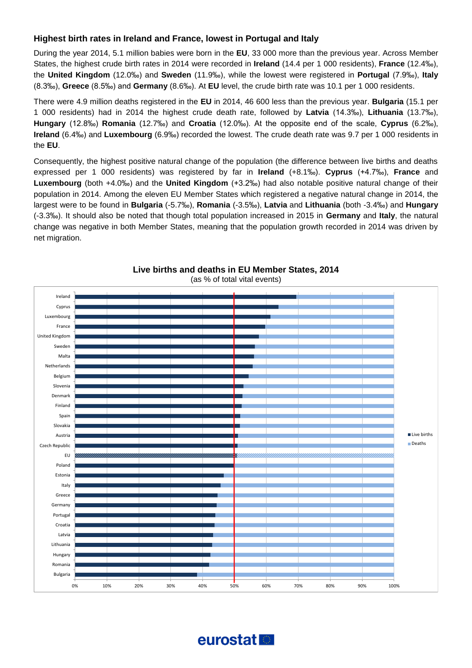# **Highest birth rates in Ireland and France, lowest in Portugal and Italy**

During the year 2014, 5.1 million babies were born in the **EU**, 33 000 more than the previous year. Across Member States, the highest crude birth rates in 2014 were recorded in **Ireland** (14.4 per 1 000 residents), **France** (12.4‰), the **United Kingdom** (12.0‰) and **Sweden** (11.9‰), while the lowest were registered in **Portugal** (7.9‰), **Italy** (8.3‰), **Greece** (8.5‰) and **Germany** (8.6‰). At **EU** level, the crude birth rate was 10.1 per 1 000 residents.

There were 4.9 million deaths registered in the **EU** in 2014, 46 600 less than the previous year. **Bulgaria** (15.1 per 1 000 residents) had in 2014 the highest crude death rate, followed by **Latvia** (14.3‰), **Lithuania** (13.7‰), **Hungary** (12.8‰) **Romania** (12.7‰) and **Croatia** (12.0‰). At the opposite end of the scale, **Cyprus** (6.2‰), **Ireland** (6.4‰) and **Luxembourg** (6.9‰) recorded the lowest. The crude death rate was 9.7 per 1 000 residents in the **EU**.

Consequently, the highest positive natural change of the population (the difference between live births and deaths expressed per 1 000 residents) was registered by far in **Ireland** (+8.1‰). **Cyprus** (+4.7‰), **France** and **Luxembourg** (both +4.0‰) and the **United Kingdom** (+3.2‰) had also notable positive natural change of their population in 2014. Among the eleven EU Member States which registered a negative natural change in 2014, the largest were to be found in **Bulgaria** (-5.7‰), **Romania** (-3.5‰), **Latvia** and **Lithuania** (both -3.4‰) and **Hungary**  (-3.3‰). It should also be noted that though total population increased in 2015 in **Germany** and **Italy**, the natural change was negative in both Member States, meaning that the population growth recorded in 2014 was driven by net migration.



**Live births and deaths in EU Member States, 2014**

(as % of total vital events)